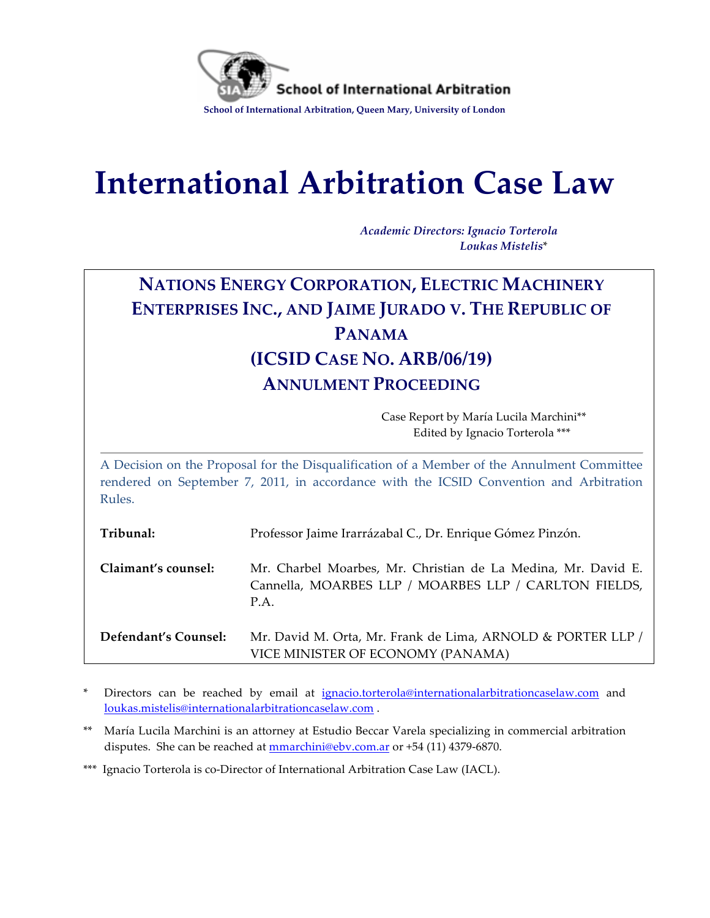

# **International Arbitration Case Law**

*Academic Directors: Ignacio Torterola Loukas Mistelis*\*

# **NATIONS ENERGY CORPORATION, ELECTRIC MACHINERY ENTERPRISES INC., AND JAIME JURADO V. THE REPUBLIC OF PANAMA (ICSID CASE NO. ARB/06/19) ANNULMENT PROCEEDING**

Case Report by María Lucila Marchini\*\* Edited by Ignacio Torterola \*\*\*

A Decision on the Proposal for the Disqualification of a Member of the Annulment Committee rendered on September 7, 2011, in accordance with the ICSID Convention and Arbitration Rules.

| Tribunal:            | Professor Jaime Irarrázabal C., Dr. Enrique Gómez Pinzón.                                                                      |
|----------------------|--------------------------------------------------------------------------------------------------------------------------------|
| Claimant's counsel:  | Mr. Charbel Moarbes, Mr. Christian de La Medina, Mr. David E.<br>Cannella, MOARBES LLP / MOARBES LLP / CARLTON FIELDS,<br>P.A. |
| Defendant's Counsel: | Mr. David M. Orta, Mr. Frank de Lima, ARNOLD & PORTER LLP /<br>VICE MINISTER OF ECONOMY (PANAMA)                               |

- Directors can be reached by email at ignacio.torterola@internationalarbitrationcaselaw.com and loukas.mistelis@internationalarbitrationcaselaw.com .
- María Lucila Marchini is an attorney at Estudio Beccar Varela specializing in commercial arbitration disputes. She can be reached at mmarchini@ebv.com.ar or +54 (11) 4379-6870.

\*\*\* Ignacio Torterola is co-Director of International Arbitration Case Law (IACL).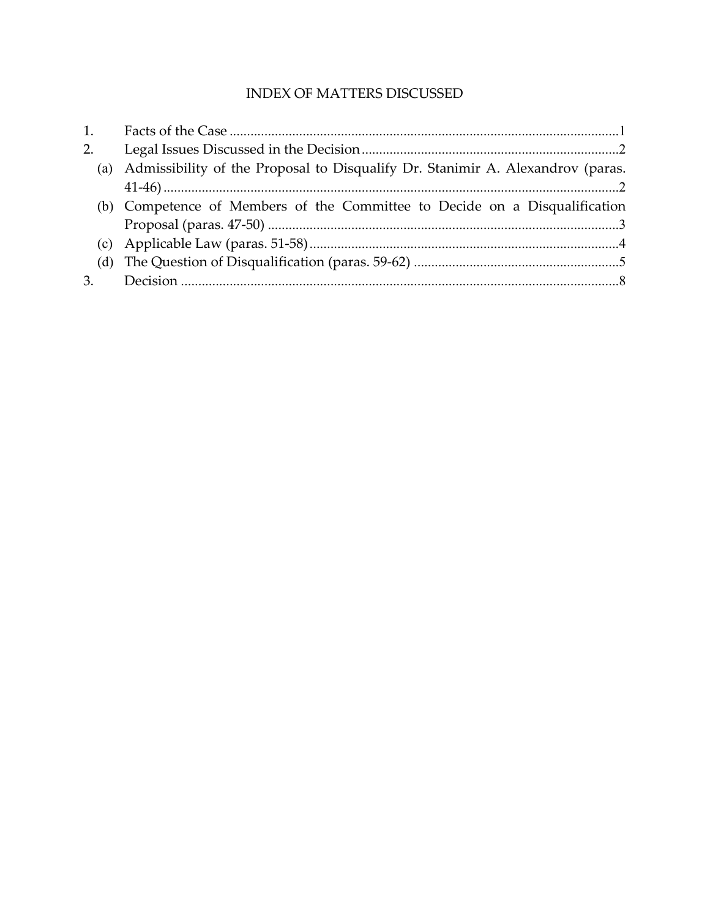## INDEX OF MATTERS DISCUSSED

| 2. |                                                                                    |
|----|------------------------------------------------------------------------------------|
|    | (a) Admissibility of the Proposal to Disqualify Dr. Stanimir A. Alexandrov (paras. |
|    |                                                                                    |
|    | (b) Competence of Members of the Committee to Decide on a Disqualification         |
|    |                                                                                    |
|    |                                                                                    |
|    |                                                                                    |
|    |                                                                                    |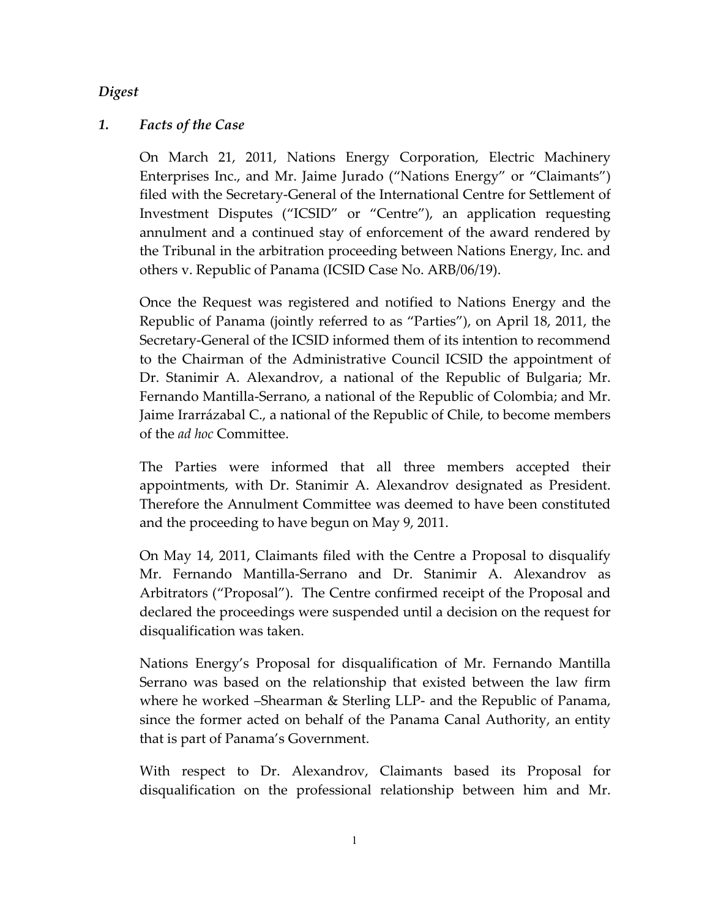#### *Digest*

#### *1. Facts of the Case*

On March 21, 2011, Nations Energy Corporation, Electric Machinery Enterprises Inc., and Mr. Jaime Jurado ("Nations Energy" or "Claimants") filed with the Secretary-General of the International Centre for Settlement of Investment Disputes ("ICSID" or "Centre"), an application requesting annulment and a continued stay of enforcement of the award rendered by the Tribunal in the arbitration proceeding between Nations Energy, Inc. and others v. Republic of Panama (ICSID Case No. ARB/06/19).

Once the Request was registered and notified to Nations Energy and the Republic of Panama (jointly referred to as "Parties"), on April 18, 2011, the Secretary-General of the ICSID informed them of its intention to recommend to the Chairman of the Administrative Council ICSID the appointment of Dr. Stanimir A. Alexandrov, a national of the Republic of Bulgaria; Mr. Fernando Mantilla-Serrano, a national of the Republic of Colombia; and Mr. Jaime Irarrázabal C., a national of the Republic of Chile, to become members of the *ad hoc* Committee.

The Parties were informed that all three members accepted their appointments, with Dr. Stanimir A. Alexandrov designated as President. Therefore the Annulment Committee was deemed to have been constituted and the proceeding to have begun on May 9, 2011.

On May 14, 2011, Claimants filed with the Centre a Proposal to disqualify Mr. Fernando Mantilla-Serrano and Dr. Stanimir A. Alexandrov as Arbitrators ("Proposal"). The Centre confirmed receipt of the Proposal and declared the proceedings were suspended until a decision on the request for disqualification was taken.

Nations Energy's Proposal for disqualification of Mr. Fernando Mantilla Serrano was based on the relationship that existed between the law firm where he worked –Shearman & Sterling LLP- and the Republic of Panama, since the former acted on behalf of the Panama Canal Authority, an entity that is part of Panama's Government.

With respect to Dr. Alexandrov, Claimants based its Proposal for disqualification on the professional relationship between him and Mr.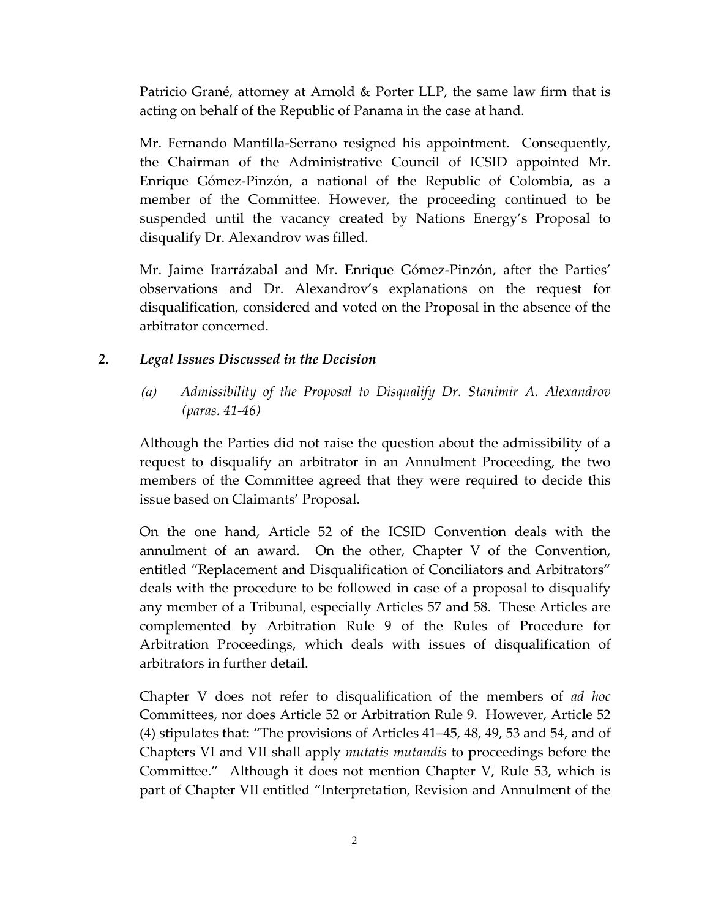Patricio Grané, attorney at Arnold & Porter LLP, the same law firm that is acting on behalf of the Republic of Panama in the case at hand.

Mr. Fernando Mantilla-Serrano resigned his appointment. Consequently, the Chairman of the Administrative Council of ICSID appointed Mr. Enrique Gómez-Pinzón, a national of the Republic of Colombia, as a member of the Committee. However, the proceeding continued to be suspended until the vacancy created by Nations Energy's Proposal to disqualify Dr. Alexandrov was filled.

Mr. Jaime Irarrázabal and Mr. Enrique Gómez-Pinzón, after the Parties' observations and Dr. Alexandrov's explanations on the request for disqualification, considered and voted on the Proposal in the absence of the arbitrator concerned.

## *2. Legal Issues Discussed in the Decision*

*(a) Admissibility of the Proposal to Disqualify Dr. Stanimir A. Alexandrov (paras. 41-46)*

Although the Parties did not raise the question about the admissibility of a request to disqualify an arbitrator in an Annulment Proceeding, the two members of the Committee agreed that they were required to decide this issue based on Claimants' Proposal.

On the one hand, Article 52 of the ICSID Convention deals with the annulment of an award. On the other, Chapter V of the Convention, entitled "Replacement and Disqualification of Conciliators and Arbitrators" deals with the procedure to be followed in case of a proposal to disqualify any member of a Tribunal, especially Articles 57 and 58. These Articles are complemented by Arbitration Rule 9 of the Rules of Procedure for Arbitration Proceedings, which deals with issues of disqualification of arbitrators in further detail.

Chapter V does not refer to disqualification of the members of *ad hoc*  Committees, nor does Article 52 or Arbitration Rule 9. However, Article 52 (4) stipulates that: "The provisions of Articles 41–45, 48, 49, 53 and 54, and of Chapters VI and VII shall apply *mutatis mutandis* to proceedings before the Committee." Although it does not mention Chapter V, Rule 53, which is part of Chapter VII entitled "Interpretation, Revision and Annulment of the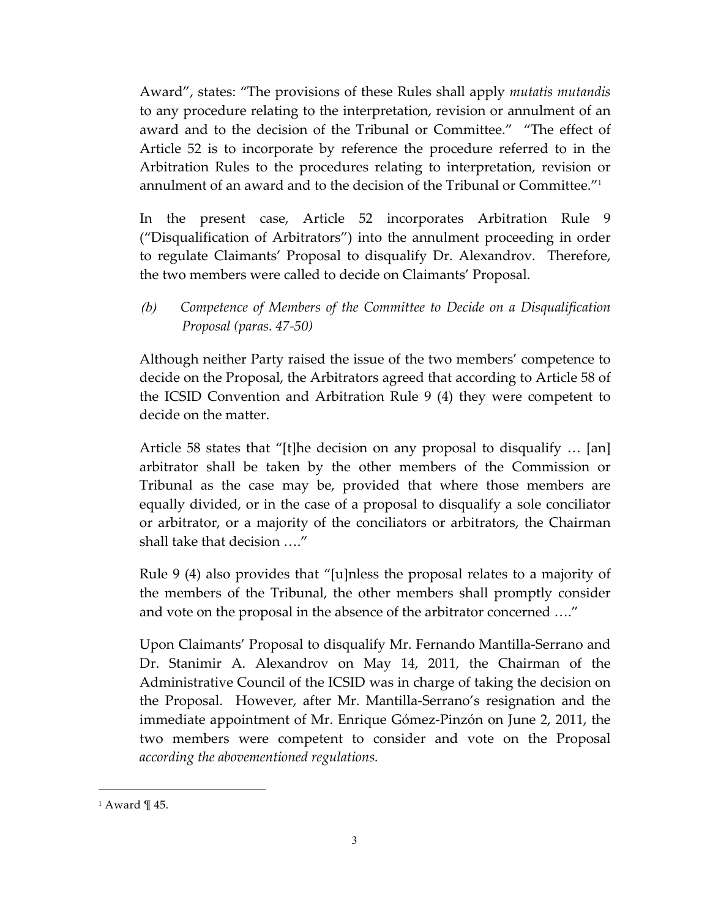Award", states: "The provisions of these Rules shall apply *mutatis mutandis* to any procedure relating to the interpretation, revision or annulment of an award and to the decision of the Tribunal or Committee." "The effect of Article 52 is to incorporate by reference the procedure referred to in the Arbitration Rules to the procedures relating to interpretation, revision or annulment of an award and to the decision of the Tribunal or Committee."<sup>1</sup>

In the present case, Article 52 incorporates Arbitration Rule 9 ("Disqualification of Arbitrators") into the annulment proceeding in order to regulate Claimants' Proposal to disqualify Dr. Alexandrov. Therefore, the two members were called to decide on Claimants' Proposal.

*(b) Competence of Members of the Committee to Decide on a Disqualification Proposal (paras. 47-50)*

Although neither Party raised the issue of the two members' competence to decide on the Proposal, the Arbitrators agreed that according to Article 58 of the ICSID Convention and Arbitration Rule 9 (4) they were competent to decide on the matter.

Article 58 states that "[t]he decision on any proposal to disqualify … [an] arbitrator shall be taken by the other members of the Commission or Tribunal as the case may be, provided that where those members are equally divided, or in the case of a proposal to disqualify a sole conciliator or arbitrator, or a majority of the conciliators or arbitrators, the Chairman shall take that decision …."

Rule 9 (4) also provides that "[u]nless the proposal relates to a majority of the members of the Tribunal, the other members shall promptly consider and vote on the proposal in the absence of the arbitrator concerned …."

Upon Claimants' Proposal to disqualify Mr. Fernando Mantilla-Serrano and Dr. Stanimir A. Alexandrov on May 14, 2011, the Chairman of the Administrative Council of the ICSID was in charge of taking the decision on the Proposal. However, after Mr. Mantilla-Serrano's resignation and the immediate appointment of Mr. Enrique Gómez-Pinzón on June 2, 2011, the two members were competent to consider and vote on the Proposal *according the abovementioned regulations.* 

 $\overline{\phantom{0}}$ 

<sup>1</sup> Award ¶ 45.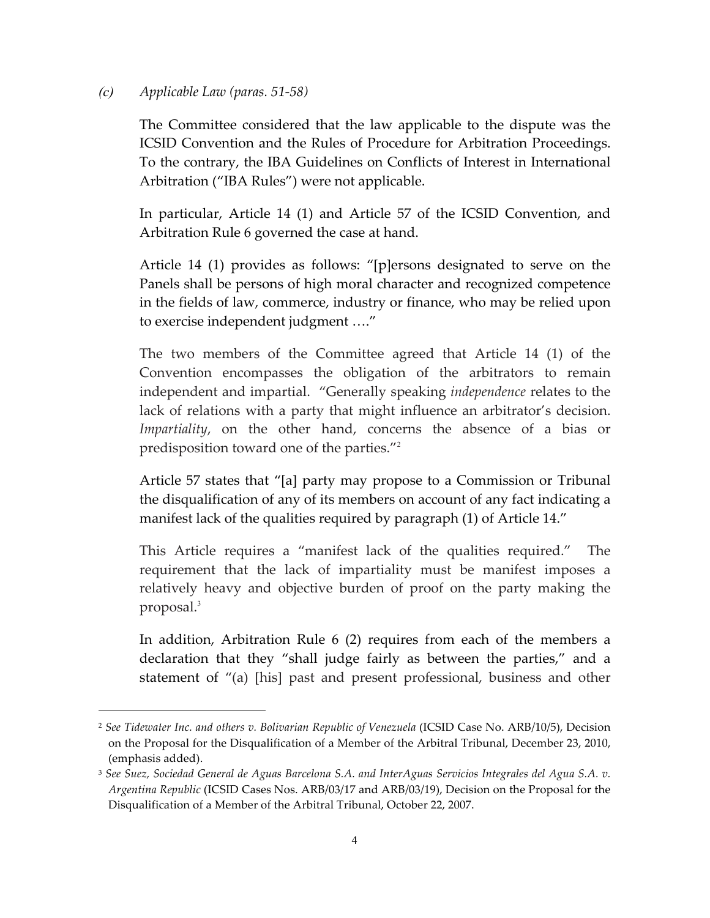#### *(c) Applicable Law (paras. 51-58)*

 $\overline{\phantom{0}}$ 

The Committee considered that the law applicable to the dispute was the ICSID Convention and the Rules of Procedure for Arbitration Proceedings. To the contrary, the IBA Guidelines on Conflicts of Interest in International Arbitration ("IBA Rules") were not applicable.

In particular, Article 14 (1) and Article 57 of the ICSID Convention, and Arbitration Rule 6 governed the case at hand.

Article 14 (1) provides as follows: "[p]ersons designated to serve on the Panels shall be persons of high moral character and recognized competence in the fields of law, commerce, industry or finance, who may be relied upon to exercise independent judgment …."

The two members of the Committee agreed that Article 14 (1) of the Convention encompasses the obligation of the arbitrators to remain independent and impartial. "Generally speaking *independence* relates to the lack of relations with a party that might influence an arbitrator's decision. *Impartiality*, on the other hand, concerns the absence of a bias or predisposition toward one of the parties."<sup>2</sup>

Article 57 states that "[a] party may propose to a Commission or Tribunal the disqualification of any of its members on account of any fact indicating a manifest lack of the qualities required by paragraph (1) of Article 14."

This Article requires a "manifest lack of the qualities required." The requirement that the lack of impartiality must be manifest imposes a relatively heavy and objective burden of proof on the party making the proposal. 3

In addition, Arbitration Rule 6 (2) requires from each of the members a declaration that they "shall judge fairly as between the parties," and a statement of "(a) [his] past and present professional, business and other

<sup>2</sup> *See Tidewater Inc. and others v. Bolivarian Republic of Venezuela* (ICSID Case No. ARB/10/5), Decision on the Proposal for the Disqualification of a Member of the Arbitral Tribunal, December 23, 2010, (emphasis added).

<sup>3</sup> *See Suez, Sociedad General de Aguas Barcelona S.A. and InterAguas Servicios Integrales del Agua S.A. v. Argentina Republic* (ICSID Cases Nos. ARB/03/17 and ARB/03/19), Decision on the Proposal for the Disqualification of a Member of the Arbitral Tribunal, October 22, 2007.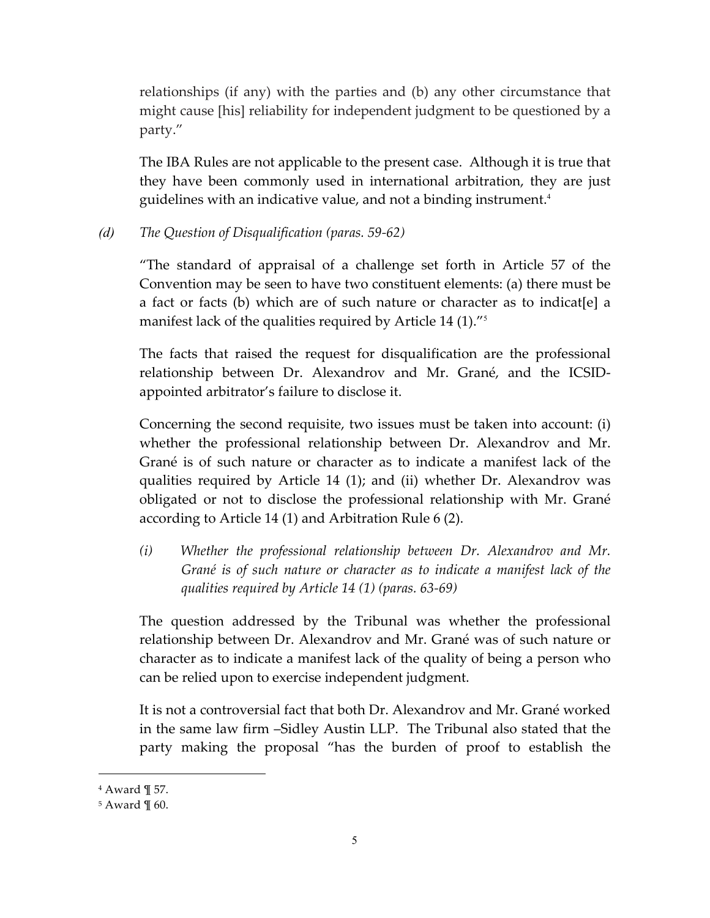relationships (if any) with the parties and (b) any other circumstance that might cause [his] reliability for independent judgment to be questioned by a party."

The IBA Rules are not applicable to the present case. Although it is true that they have been commonly used in international arbitration, they are just guidelines with an indicative value, and not a binding instrument. 4

*(d) The Question of Disqualification (paras. 59-62)*

"The standard of appraisal of a challenge set forth in Article 57 of the Convention may be seen to have two constituent elements: (a) there must be a fact or facts (b) which are of such nature or character as to indicat[e] a manifest lack of the qualities required by Article 14 (1)."<sup>5</sup>

The facts that raised the request for disqualification are the professional relationship between Dr. Alexandrov and Mr. Grané, and the ICSIDappointed arbitrator's failure to disclose it.

Concerning the second requisite, two issues must be taken into account: (i) whether the professional relationship between Dr. Alexandrov and Mr. Grané is of such nature or character as to indicate a manifest lack of the qualities required by Article 14 (1); and (ii) whether Dr. Alexandrov was obligated or not to disclose the professional relationship with Mr. Grané according to Article 14 (1) and Arbitration Rule 6 (2).

*(i) Whether the professional relationship between Dr. Alexandrov and Mr. Grané is of such nature or character as to indicate a manifest lack of the qualities required by Article 14 (1) (paras. 63-69)*

The question addressed by the Tribunal was whether the professional relationship between Dr. Alexandrov and Mr. Grané was of such nature or character as to indicate a manifest lack of the quality of being a person who can be relied upon to exercise independent judgment.

It is not a controversial fact that both Dr. Alexandrov and Mr. Grané worked in the same law firm –Sidley Austin LLP. The Tribunal also stated that the party making the proposal "has the burden of proof to establish the

 $\overline{\phantom{0}}$ 

<sup>4</sup> Award ¶ 57.

<sup>5</sup> Award ¶ 60.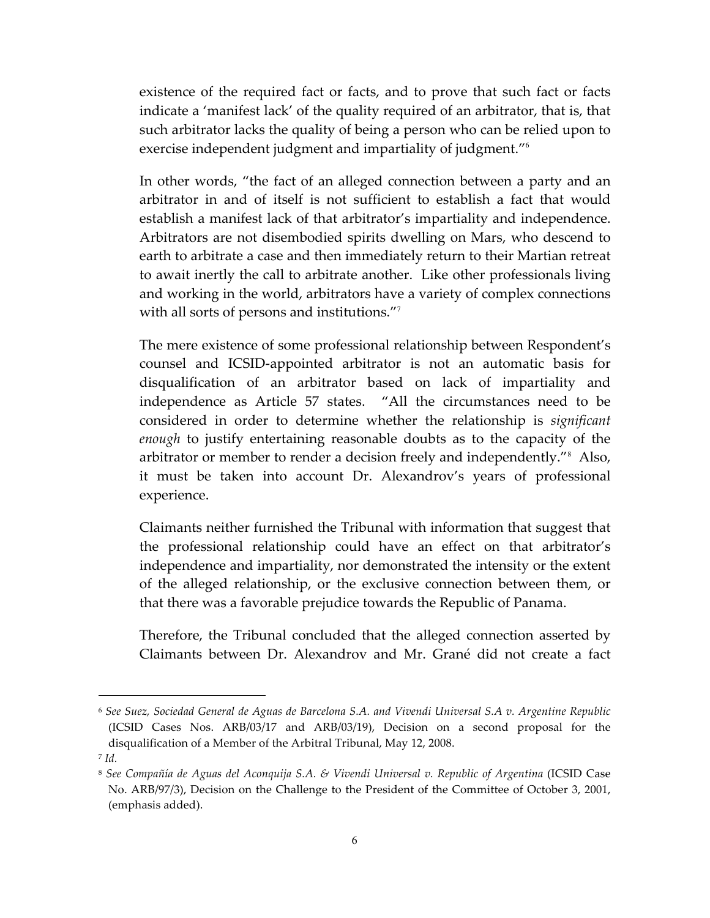existence of the required fact or facts, and to prove that such fact or facts indicate a 'manifest lack' of the quality required of an arbitrator, that is, that such arbitrator lacks the quality of being a person who can be relied upon to exercise independent judgment and impartiality of judgment."<sup>6</sup>

In other words, "the fact of an alleged connection between a party and an arbitrator in and of itself is not sufficient to establish a fact that would establish a manifest lack of that arbitrator's impartiality and independence. Arbitrators are not disembodied spirits dwelling on Mars, who descend to earth to arbitrate a case and then immediately return to their Martian retreat to await inertly the call to arbitrate another. Like other professionals living and working in the world, arbitrators have a variety of complex connections with all sorts of persons and institutions."<sup>7</sup>

The mere existence of some professional relationship between Respondent's counsel and ICSID-appointed arbitrator is not an automatic basis for disqualification of an arbitrator based on lack of impartiality and independence as Article 57 states. "All the circumstances need to be considered in order to determine whether the relationship is *significant enough* to justify entertaining reasonable doubts as to the capacity of the arbitrator or member to render a decision freely and independently."<sup>8</sup> Also, it must be taken into account Dr. Alexandrov's years of professional experience.

Claimants neither furnished the Tribunal with information that suggest that the professional relationship could have an effect on that arbitrator's independence and impartiality, nor demonstrated the intensity or the extent of the alleged relationship, or the exclusive connection between them, or that there was a favorable prejudice towards the Republic of Panama.

Therefore, the Tribunal concluded that the alleged connection asserted by Claimants between Dr. Alexandrov and Mr. Grané did not create a fact

 $\overline{a}$ 

<sup>6</sup> *See Suez, Sociedad General de Aguas de Barcelona S.A. and Vivendi Universal S.A v. Argentine Republic* (ICSID Cases Nos. ARB/03/17 and ARB/03/19), Decision on a second proposal for the disqualification of a Member of the Arbitral Tribunal, May 12, 2008.

<sup>7</sup> *Id.*

<sup>8</sup> *See Compañía de Aguas del Aconquija S.A. & Vivendi Universal v. Republic of Argentina* (ICSID Case No. ARB/97/3), Decision on the Challenge to the President of the Committee of October 3, 2001, (emphasis added).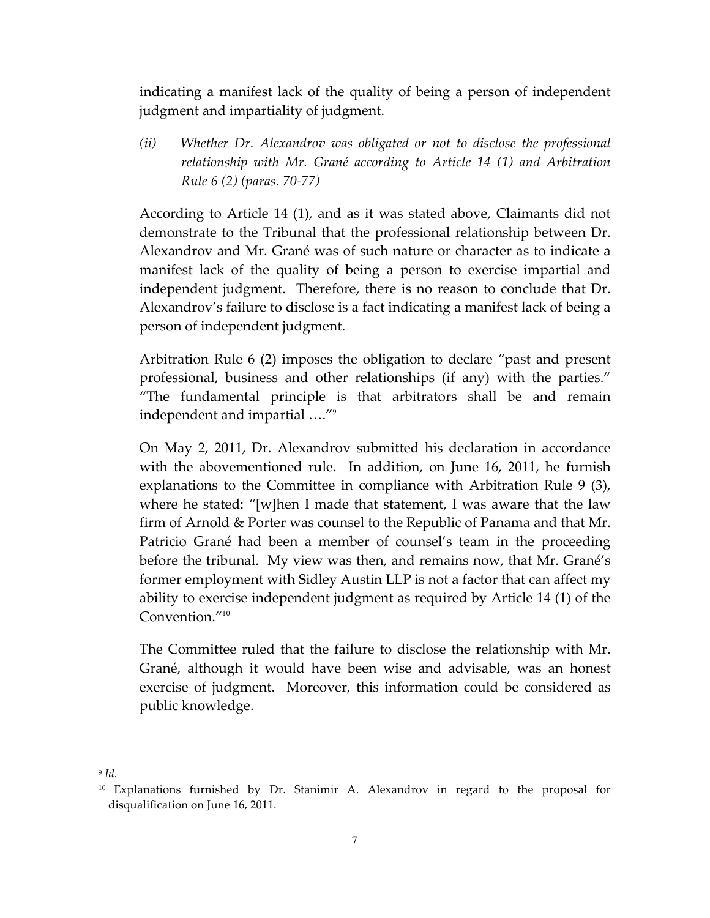indicating a manifest lack of the quality of being a person of independent judgment and impartiality of judgment.

*(ii) Whether Dr. Alexandrov was obligated or not to disclose the professional relationship with Mr. Grané according to Article 14 (1) and Arbitration Rule 6 (2) (paras. 70-77)*

According to Article 14 (1), and as it was stated above, Claimants did not demonstrate to the Tribunal that the professional relationship between Dr. Alexandrov and Mr. Grané was of such nature or character as to indicate a manifest lack of the quality of being a person to exercise impartial and independent judgment. Therefore, there is no reason to conclude that Dr. Alexandrov's failure to disclose is a fact indicating a manifest lack of being a person of independent judgment.

Arbitration Rule 6 (2) imposes the obligation to declare "past and present professional, business and other relationships (if any) with the parties." "The fundamental principle is that arbitrators shall be and remain independent and impartial …."<sup>9</sup>

On May 2, 2011, Dr. Alexandrov submitted his declaration in accordance with the abovementioned rule. In addition, on June 16, 2011, he furnish explanations to the Committee in compliance with Arbitration Rule 9 (3), where he stated: "[w]hen I made that statement, I was aware that the law firm of Arnold & Porter was counsel to the Republic of Panama and that Mr. Patricio Grané had been a member of counsel's team in the proceeding before the tribunal. My view was then, and remains now, that Mr. Grané's former employment with Sidley Austin LLP is not a factor that can affect my ability to exercise independent judgment as required by Article 14 (1) of the Convention."<sup>10</sup>

The Committee ruled that the failure to disclose the relationship with Mr. Grané, although it would have been wise and advisable, was an honest exercise of judgment. Moreover, this information could be considered as public knowledge.

 $\overline{a}$ <sup>9</sup> *Id.* 

<sup>10</sup> Explanations furnished by Dr. Stanimir A. Alexandrov in regard to the proposal for disqualification on June 16, 2011.